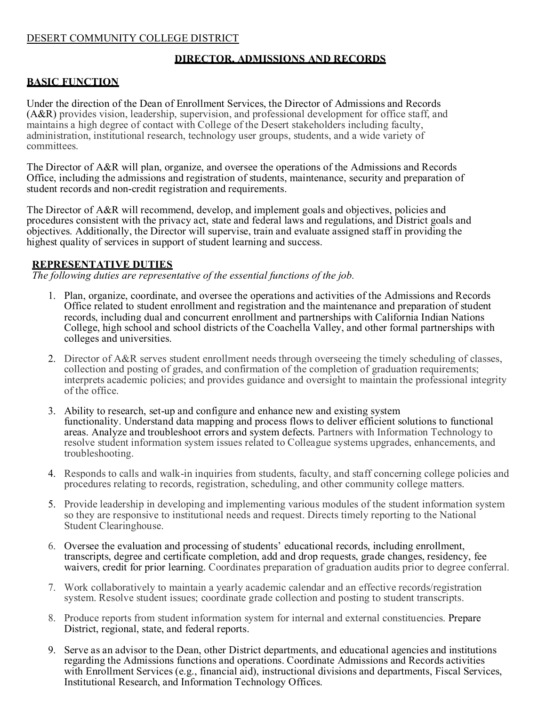### DESERT COMMUNITY COLLEGE DISTRICT

### **DIRECTOR, ADMISSIONS AND RECORDS**

### **BASIC FUNCTION**

Under the direction of the Dean of Enrollment Services, the Director of Admissions and Records (A&R) provides vision, leadership, supervision, and professional development for office staff, and maintains a high degree of contact with College of the Desert stakeholders including faculty, administration, institutional research, technology user groups, students, and a wide variety of committees.

The Director of A&R will plan, organize, and oversee the operations of the Admissions and Records Office, including the admissions and registration of students, maintenance, security and preparation of student records and non-credit registration and requirements.

The Director of A&R will recommend, develop, and implement goals and objectives, policies and procedures consistent with the privacy act, state and federal laws and regulations, and District goals and objectives. Additionally, the Director will supervise, train and evaluate assigned staff in providing the highest quality of services in support of student learning and success.

#### **REPRESENTATIVE DUTIES**

*The following duties are representative of the essential functions of the job.*

- 1. Plan, organize, coordinate, and oversee the operations and activities of the Admissions and Records Office related to student enrollment and registration and the maintenance and preparation of student records, including dual and concurrent enrollment and partnerships with California Indian Nations College, high school and school districts of the Coachella Valley, and other formal partnerships with colleges and universities.
- 2. Director of A&R serves student enrollment needs through overseeing the timely scheduling of classes, collection and posting of grades, and confirmation of the completion of graduation requirements; interprets academic policies; and provides guidance and oversight to maintain the professional integrity of the office.
- 3. Ability to research, set-up and configure and enhance new and existing system functionality. Understand data mapping and process flows to deliver efficient solutions to functional areas. Analyze and troubleshoot errors and system defects. Partners with Information Technology to resolve student information system issues related to Colleague systems upgrades, enhancements, and troubleshooting.
- 4. Responds to calls and walk-in inquiries from students, faculty, and staff concerning college policies and procedures relating to records, registration, scheduling, and other community college matters.
- 5. Provide leadership in developing and implementing various modules of the student information system so they are responsive to institutional needs and request. Directs timely reporting to the National Student Clearinghouse.
- 6. Oversee the evaluation and processing of students' educational records, including enrollment, transcripts, degree and certificate completion, add and drop requests, grade changes, residency, fee waivers, credit for prior learning. Coordinates preparation of graduation audits prior to degree conferral.
- 7. Work collaboratively to maintain a yearly academic calendar and an effective records/registration system. Resolve student issues; coordinate grade collection and posting to student transcripts.
- 8. Produce reports from student information system for internal and external constituencies. Prepare District, regional, state, and federal reports.
- 9. Serve as an advisor to the Dean, other District departments, and educational agencies and institutions regarding the Admissions functions and operations. Coordinate Admissions and Records activities with Enrollment Services (e.g., financial aid), instructional divisions and departments, Fiscal Services, Institutional Research, and Information Technology Offices.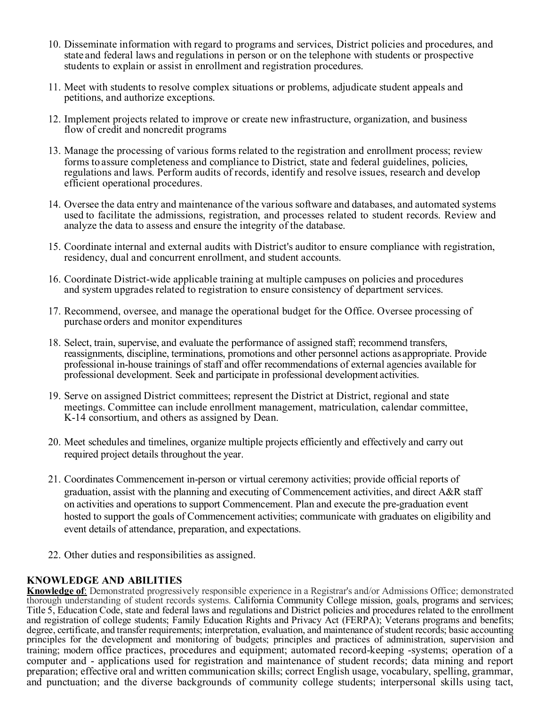- 10. Disseminate information with regard to programs and services, District policies and procedures, and state and federal laws and regulations in person or on the telephone with students or prospective students to explain or assist in enrollment and registration procedures.
- 11. Meet with students to resolve complex situations or problems, adjudicate student appeals and petitions, and authorize exceptions.
- 12. Implement projects related to improve or create new infrastructure, organization, and business flow of credit and noncredit programs
- 13. Manage the processing of various forms related to the registration and enrollment process; review forms to assure completeness and compliance to District, state and federal guidelines, policies, regulations and laws. Perform audits of records, identify and resolve issues, research and develop efficient operational procedures.
- 14. Oversee the data entry and maintenance of the various software and databases, and automated systems used to facilitate the admissions, registration, and processes related to student records. Review and analyze the data to assess and ensure the integrity of the database.
- 15. Coordinate internal and external audits with District's auditor to ensure compliance with registration, residency, dual and concurrent enrollment, and student accounts.
- 16. Coordinate District-wide applicable training at multiple campuses on policies and procedures and system upgrades related to registration to ensure consistency of department services.
- 17. Recommend, oversee, and manage the operational budget for the Office. Oversee processing of purchase orders and monitor expenditures
- 18. Select, train, supervise, and evaluate the performance of assigned staff; recommend transfers, reassignments, discipline, terminations, promotions and other personnel actions asappropriate. Provide professional in-house trainings of staff and offer recommendations of external agencies available for professional development. Seek and participate in professional development activities.
- 19. Serve on assigned District committees; represent the District at District, regional and state meetings. Committee can include enrollment management, matriculation, calendar committee, K-14 consortium, and others as assigned by Dean.
- 20. Meet schedules and timelines, organize multiple projects efficiently and effectively and carry out required project details throughout the year.
- 21. Coordinates Commencement in-person or virtual ceremony activities; provide official reports of graduation, assist with the planning and executing of Commencement activities, and direct A&R staff on activities and operations to support Commencement. Plan and execute the pre-graduation event hosted to support the goals of Commencement activities; communicate with graduates on eligibility and event details of attendance, preparation, and expectations.
- 22. Other duties and responsibilities as assigned.

### **KNOWLEDGE AND ABILITIES**

**Knowledge of**: Demonstrated progressively responsible experience in a Registrar's and/or Admissions Office; demonstrated thorough understanding of student records systems. California Community College mission, goals, programs and services; Title 5, Education Code, state and federal laws and regulations and District policies and procedures related to the enrollment and registration of college students; Family Education Rights and Privacy Act (FERPA); Veterans programs and benefits; degree, certificate, and transfer requirements; interpretation, evaluation, and maintenance of student records; basic accounting principles for the development and monitoring of budgets; principles and practices of administration, supervision and training; modern office practices, procedures and equipment; automated record-keeping -systems; operation of a computer and - applications used for registration and maintenance of student records; data mining and report preparation; effective oral and written communication skills; correct English usage, vocabulary, spelling, grammar, and punctuation; and the diverse backgrounds of community college students; interpersonal skills using tact,